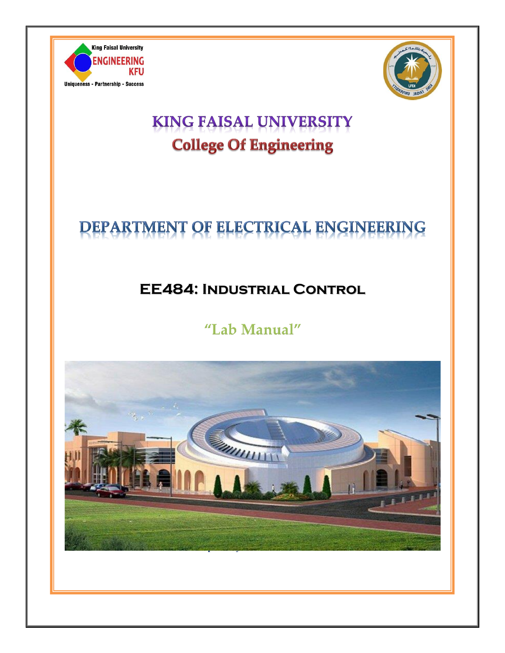



## **KING FAISAL UNIVERSITY College Of Engineering**

# DEPARTMENT OF ELECTRICAL ENGINEERING

## **EE484: Industrial Control**

## "Lab Manual"

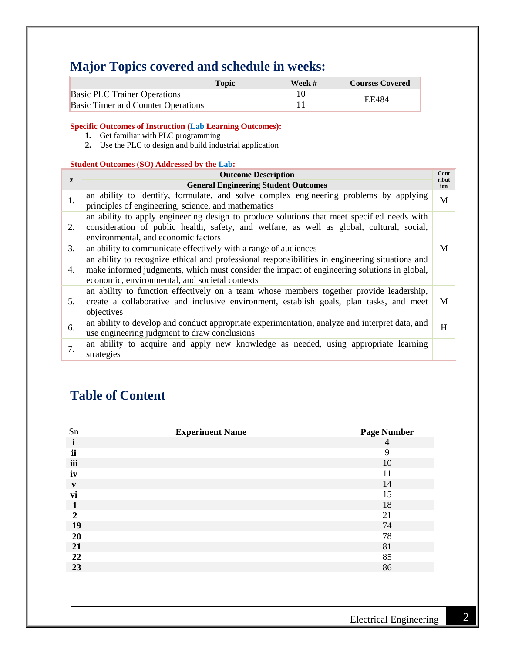## **Major Topics covered and schedule in weeks:**

|                                           | Topic | Week # | <b>Courses Covered</b> |
|-------------------------------------------|-------|--------|------------------------|
| <b>Basic PLC Trainer Operations</b>       |       |        | EF484                  |
| <b>Basic Timer and Counter Operations</b> |       |        |                        |

**Specific Outcomes of Instruction (Lab Learning Outcomes):**

- **1.** Get familiar with PLC programming
- **2.** Use the PLC to design and build industrial application

#### **Student Outcomes (SO) Addressed by the Lab:**

|              | <b>Outcome Description</b>                                                                                                                                                                                                                       | Cont<br>ribut |
|--------------|--------------------------------------------------------------------------------------------------------------------------------------------------------------------------------------------------------------------------------------------------|---------------|
| $\mathbf{z}$ | <b>General Engineering Student Outcomes</b>                                                                                                                                                                                                      | ion           |
| 1.           | an ability to identify, formulate, and solve complex engineering problems by applying<br>principles of engineering, science, and mathematics                                                                                                     | M             |
| 2.           | an ability to apply engineering design to produce solutions that meet specified needs with<br>consideration of public health, safety, and welfare, as well as global, cultural, social,<br>environmental, and economic factors                   |               |
| 3.           | an ability to communicate effectively with a range of audiences                                                                                                                                                                                  | M             |
| 4.           | an ability to recognize ethical and professional responsibilities in engineering situations and<br>make informed judgments, which must consider the impact of engineering solutions in global,<br>economic, environmental, and societal contexts |               |
| .5.          | an ability to function effectively on a team whose members together provide leadership,<br>create a collaborative and inclusive environment, establish goals, plan tasks, and meet<br>objectives                                                 | M             |
| 6.           | an ability to develop and conduct appropriate experimentation, analyze and interpret data, and<br>use engineering judgment to draw conclusions                                                                                                   | H             |
| 7.           | an ability to acquire and apply new knowledge as needed, using appropriate learning<br>strategies                                                                                                                                                |               |

## **Table of Content**

| Sn             | <b>Experiment Name</b> | <b>Page Number</b> |
|----------------|------------------------|--------------------|
| 1              |                        | $\overline{4}$     |
| ii             |                        | 9                  |
| iii            |                        | 10                 |
| iv             |                        | 11                 |
| V              |                        | 14                 |
| vi             |                        | 15                 |
| 1              |                        | 18                 |
| $\overline{2}$ |                        | 21                 |
| 19             |                        | 74                 |
| 20             |                        | 78                 |
| 21             |                        | 81                 |
| 22             |                        | 85                 |
| 23             |                        | 86                 |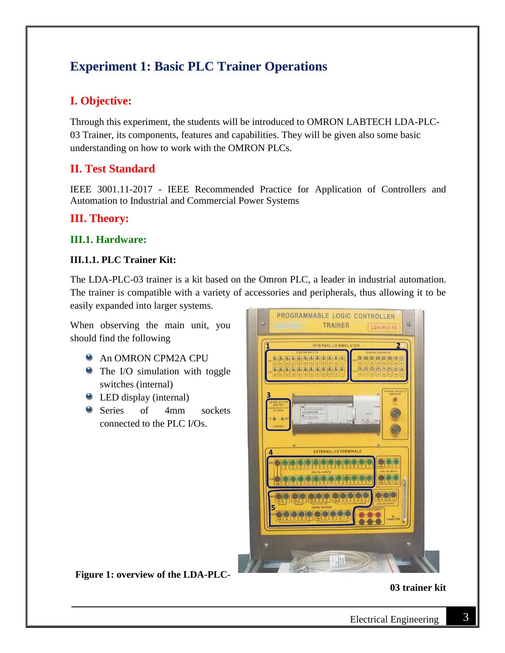## **Experiment 1: Basic PLC Trainer Operations**

## **I. Objective:**

Through this experiment, the students will be introduced to OMRON LABTECH LDA-PLC-03 Trainer, its components, features and capabilities. They will be given also some basic understanding on how to work with the OMRON PLCs.

## **II. Test Standard**

IEEE 3001.11-2017 - IEEE Recommended Practice for Application of Controllers and Automation to Industrial and Commercial Power Systems

### **III. Theory:**

#### **III.1. Hardware:**

#### **III.1.1. PLC Trainer Kit:**

The LDA-PLC-03 trainer is a kit based on the Omron PLC, a leader in industrial automation. The trainer is compatible with a variety of accessories and peripherals, thus allowing it to be easily expanded into larger systems.

When observing the main unit, you should find the following

- **An OMRON CPM2A CPU**
- The I/O simulation with toggle switches (internal)
- LED display (internal)
- Series of 4mm sockets connected to the PLC I/Os.



**Figure 1: overview of the LDA-PLC-**

**03 trainer kit**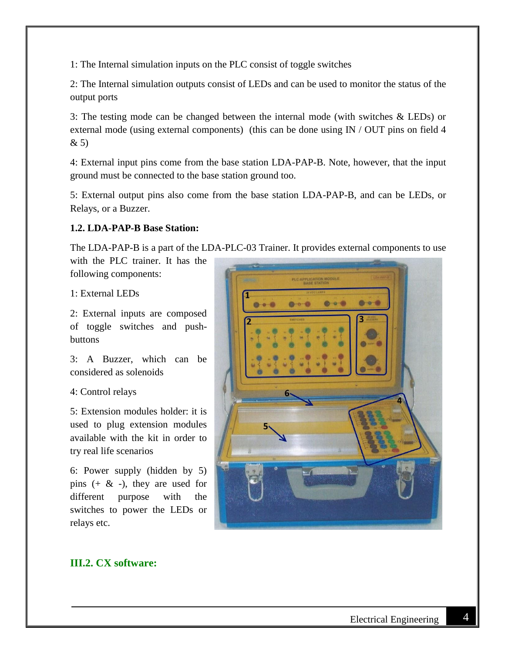1: The Internal simulation inputs on the PLC consist of toggle switches

2: The Internal simulation outputs consist of LEDs and can be used to monitor the status of the output ports

3: The testing mode can be changed between the internal mode (with switches & LEDs) or external mode (using external components) (this can be done using IN / OUT pins on field 4 & 5)

4: External input pins come from the base station LDA-PAP-B. Note, however, that the input ground must be connected to the base station ground too.

5: External output pins also come from the base station LDA-PAP-B, and can be LEDs, or Relays, or a Buzzer.

#### **1.2. LDA-PAP-B Base Station:**

The LDA-PAP-B is a part of the LDA-PLC-03 Trainer. It provides external components to use

with the PLC trainer. It has the following components:

1: External LEDs

2: External inputs are composed of toggle switches and pushbuttons

3: A Buzzer, which can be considered as solenoids

4: Control relays

5: Extension modules holder: it is used to plug extension modules available with the kit in order to try real life scenarios

6: Power supply (hidden by 5) pins  $(+ \& -)$ , they are used for different purpose with the switches to power the LEDs or relays etc.



### **III.2. CX software:**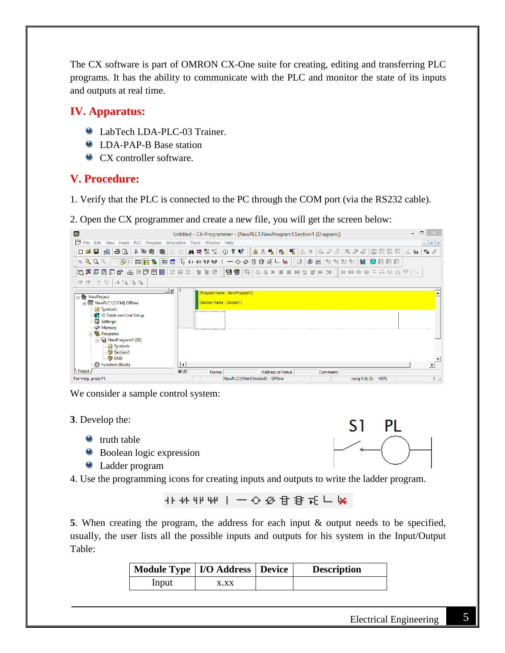The CX software is part of OMRON CX-One suite for creating, editing and transferring PLC programs. It has the ability to communicate with the PLC and monitor the state of its inputs and outputs at real time.

## **IV. Apparatus:**

- LabTech LDA-PLC-03 Trainer.
- **C** LDA-PAP-B Base station
- CX controller software.

## **V. Procedure:**

1. Verify that the PLC is connected to the PC through the COM port (via the RS232 cable).

2. Open the CX programmer and create a new file, you will get the screen below:

| 雲                                                                                                                                                                                                       | Untitled - CX-Programmer - [NewPLC1.NewProgram1.Section1 [Diagram]]                                                | $\Box$                |
|---------------------------------------------------------------------------------------------------------------------------------------------------------------------------------------------------------|--------------------------------------------------------------------------------------------------------------------|-----------------------|
| 門<br>File Edit View Insert PLC Program Simulation Tools Window Help                                                                                                                                     |                                                                                                                    | $ E$ $\times$         |
|                                                                                                                                                                                                         | ◘ ☞ ■   №   ⊕  3 ↓ № №   №   ∞ ≥ ≥   ₩ ≭ ₩ ¼   ① ? №    ▲ ☆ ₩   №   №    № 18 13    % ☆ «     ⊞ ₩ ₩ № 15 №    № 16 |                       |
|                                                                                                                                                                                                         |                                                                                                                    |                       |
|                                                                                                                                                                                                         |                                                                                                                    |                       |
| 非律  目≌  ル冷冷冷                                                                                                                                                                                            |                                                                                                                    |                       |
| ⊡ ×L<br>日·桑 NewProject<br>白. WewPLC1[CJ1M] Offline<br>Symbols<br><b>OT</b> IO Table and Unit Setup<br><b>Settings</b><br>Memory<br>白 % Programs<br>S NewProgram1 (00)<br>- Symbols<br>Section1<br>® END | $\overline{0}$<br>[Program Name : New Program1]<br><b>[Section Name: Section1]</b><br><u>ramanaman</u><br>'mmmmmmm |                       |
| Function Blocks                                                                                                                                                                                         | $  \cdot  $                                                                                                        | $\blacktriangleright$ |
| Project<br>For Help, press F1                                                                                                                                                                           | 회회<br><b>Address or Value:</b><br>Comment:<br>Name:<br>NewPLC1(Net:0,Node:0) - Offline<br>rung 0 (0, 0) - 100%     | $\frac{1}{2}$         |

We consider a sample control system:

- **3**. Develop the:
	- $\bullet$  truth table
	- Boolean logic expression
	- Ladder program
- 4. Use the programming icons for creating inputs and outputs to write the ladder program.

**5**. When creating the program, the address for each input & output needs to be specified, usually, the user lists all the possible inputs and outputs for his system in the Input/Output Table:

| Module Type   I/O Address   Device |      | <b>Description</b> |
|------------------------------------|------|--------------------|
| Input                              | x.xx |                    |

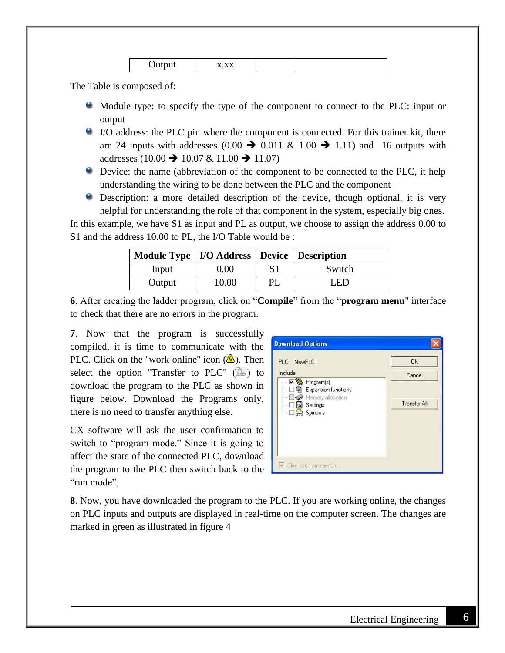The Table is composed of:

- Module type: to specify the type of the component to connect to the PLC: input or output
- I/O address: the PLC pin where the component is connected. For this trainer kit, there are 24 inputs with addresses  $(0.00 \rightarrow 0.011 \& 1.00 \rightarrow 1.11)$  and 16 outputs with addresses (10.00  $\rightarrow$  10.07 & 11.00  $\rightarrow$  11.07)
- Device: the name (abbreviation of the component to be connected to the PLC, it help understanding the wiring to be done between the PLC and the component
- Description: a more detailed description of the device, though optional, it is very helpful for understanding the role of that component in the system, especially big ones.

In this example, we have S1 as input and PL as output, we choose to assign the address 0.00 to S1 and the address 10.00 to PL, the I/O Table would be :

| Module Type   I/O Address   Device   Description |       |     |        |
|--------------------------------------------------|-------|-----|--------|
| Input                                            | 0.00  | S1  | Switch |
| Output                                           | 10.00 | PL. | LED    |

**6**. After creating the ladder program, click on "**Compile**" from the "**program menu**" interface to check that there are no errors in the program.

**7**. Now that the program is successfully compiled, it is time to communicate with the PLC. Click on the "work online" icon  $(\bigtriangleup)$ . Then select the option "Transfer to PLC"  $(\Box)$  to download the program to the PLC as shown in figure below. Download the Programs only, there is no need to transfer anything else.

CX software will ask the user confirmation to switch to "program mode." Since it is going to affect the state of the connected PLC, download the program to the PLC then switch back to the "run mode",



**8**. Now, you have downloaded the program to the PLC. If you are working online, the changes on PLC inputs and outputs are displayed in real-time on the computer screen. The changes are marked in green as illustrated in figure 4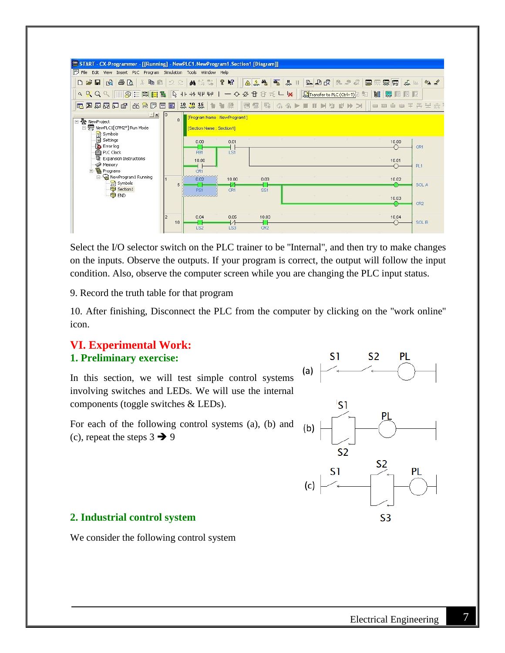

Select the I/O selector switch on the PLC trainer to be ''Internal'', and then try to make changes on the inputs. Observe the outputs. If your program is correct, the output will follow the input condition. Also, observe the computer screen while you are changing the PLC input status.

9. Record the truth table for that program

10. After finishing, Disconnect the PLC from the computer by clicking on the ''work online'' icon.

### **VI. Experimental Work: 1. Preliminary exercise:**

In this section, we will test simple control systems involving switches and LEDs. We will use the internal components (toggle switches & LEDs).

For each of the following control systems (a), (b) and (c), repeat the steps  $3 \rightarrow 9$ 



#### **2. Industrial control system**

We consider the following control system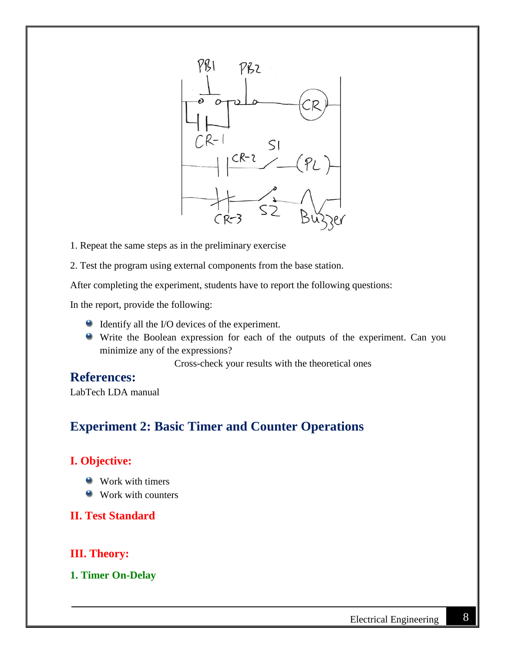

- 1. Repeat the same steps as in the preliminary exercise
- 2. Test the program using external components from the base station.

After completing the experiment, students have to report the following questions:

In the report, provide the following:

- Identify all the I/O devices of the experiment.
- Write the Boolean expression for each of the outputs of the experiment. Can you minimize any of the expressions?

Cross-check your results with the theoretical ones

## **References:**

LabTech LDA manual

## **Experiment 2: Basic Timer and Counter Operations**

## **I. Objective:**

- Work with timers
- Work with counters

#### **II. Test Standard**

### **III. Theory:**

#### **1. Timer On-Delay**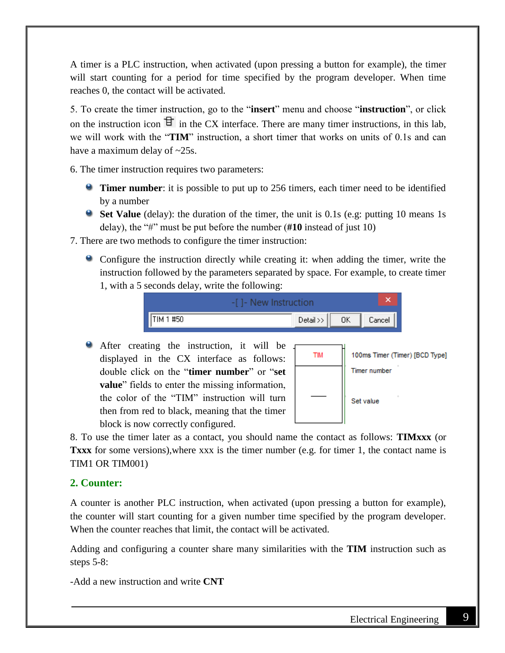A timer is a PLC instruction, when activated (upon pressing a button for example), the timer will start counting for a period for time specified by the program developer. When time reaches 0, the contact will be activated.

5. To create the timer instruction, go to the "**insert**" menu and choose "**instruction**", or click on the instruction icon  $\exists$  in the CX interface. There are many timer instructions, in this lab, we will work with the "**TIM**" instruction, a short timer that works on units of 0.1s and can have a maximum delay of  $\sim$ 25s.

6. The timer instruction requires two parameters:

- **Timer number**: it is possible to put up to 256 timers, each timer need to be identified by a number
- **Set Value** (delay): the duration of the timer, the unit is 0.1s (e.g: putting 10 means 1s delay), the "#" must be put before the number (**#10** instead of just 10)
- 7. There are two methods to configure the timer instruction:
	- Configure the instruction directly while creating it: when adding the timer, write the instruction followed by the parameters separated by space. For example, to create timer 1, with a 5 seconds delay, write the following:



After creating the instruction, it will be displayed in the CX interface as follows: double click on the "**timer number**" or "**set value**" fields to enter the missing information, the color of the "TIM" instruction will turn then from red to black, meaning that the timer block is now correctly configured.



8. To use the timer later as a contact, you should name the contact as follows: **TIMxxx** (or **Txxx** for some versions),where xxx is the timer number (e.g. for timer 1, the contact name is TIM1 OR TIM001)

## **2. Counter:**

A counter is another PLC instruction, when activated (upon pressing a button for example), the counter will start counting for a given number time specified by the program developer. When the counter reaches that limit, the contact will be activated.

Adding and configuring a counter share many similarities with the **TIM** instruction such as steps 5-8:

-Add a new instruction and write **CNT**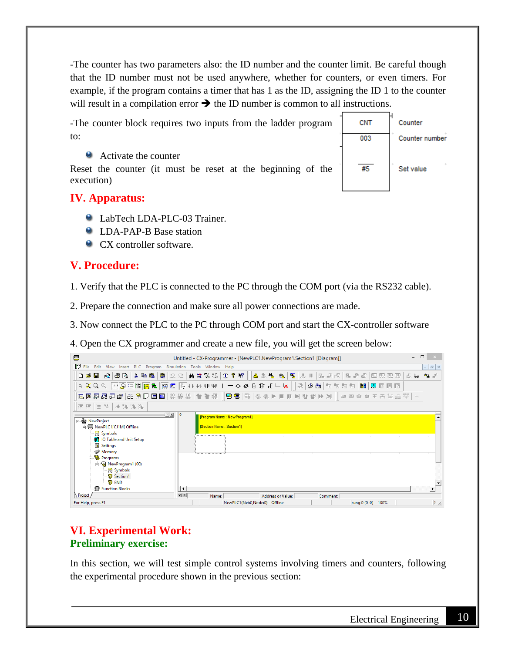-The counter has two parameters also: the ID number and the counter limit. Be careful though that the ID number must not be used anywhere, whether for counters, or even timers. For example, if the program contains a timer that has 1 as the ID, assigning the ID 1 to the counter will result in a compilation error  $\rightarrow$  the ID number is common to all instructions.



Reset the counter (it must be reset at the beginning of the execution)



## **IV. Apparatus:**

- **C** LabTech LDA-PLC-03 Trainer.
- LDA-PAP-B Base station
- CX controller software.

## **V. Procedure:**

1. Verify that the PLC is connected to the PC through the COM port (via the RS232 cable).

2. Prepare the connection and make sure all power connections are made.

3. Now connect the PLC to the PC through COM port and start the CX-controller software

4. Open the CX programmer and create a new file, you will get the screen below:

| 雲                                                                                                                                                                                                                                      | $\Box$<br>Untitled - CX-Programmer - [NewPLC1.NewProgram1.Section1 [Diagram]]                                                                 |
|----------------------------------------------------------------------------------------------------------------------------------------------------------------------------------------------------------------------------------------|-----------------------------------------------------------------------------------------------------------------------------------------------|
| 閁<br>Edit View Insert PLC Program Simulation Tools Window Help<br>File                                                                                                                                                                 | $ E$ $\times$                                                                                                                                 |
|                                                                                                                                                                                                                                        | പ്പോ                                                                                                                                          |
|                                                                                                                                                                                                                                        |                                                                                                                                               |
|                                                                                                                                                                                                                                        |                                                                                                                                               |
| 年年  目呈  14949434                                                                                                                                                                                                                       |                                                                                                                                               |
| ∃ <u>™ xI</u>   0<br>□ < NewProject<br>□ vewPLC1[CJ1M] Offline<br>$\mathbb{R}$ Symbols<br><b>OT</b> IO Table and Unit Setup<br>Settings<br>Memory<br>白 % Programs<br>d NewProgram1 (00)<br>$\Rightarrow$ Symbols<br>Section1<br>⊹® END | [Program Name: New Program1]<br><b>ISection Name: Section11</b><br>,,,,,,,,,,,,,,,,,,,,,,<br>$\sim$<br>$\sim$<br>$\sim$<br>$\sim$<br>'mmmmmmm |
| Function Blocks                                                                                                                                                                                                                        | l٠.                                                                                                                                           |
| Project<br>For Help, press F1                                                                                                                                                                                                          | 회회<br><b>Address or Value:</b><br>Comment:<br>Name:<br>$\frac{1}{2}$<br>NewPLC1(Net:0,Node:0) - Offline<br>rung 0 (0, 0) - 100%               |

## **VI. Experimental Work: Preliminary exercise:**

In this section, we will test simple control systems involving timers and counters, following the experimental procedure shown in the previous section: